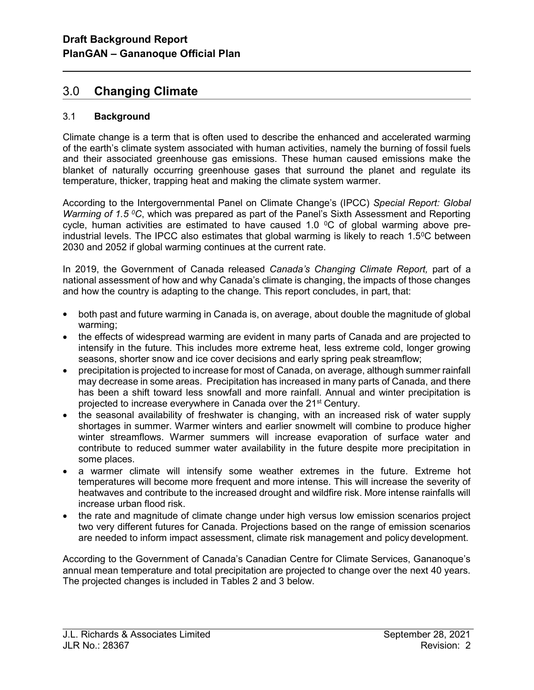# 3.0 Changing Climate

## 3.1 Background

l

Climate change is a term that is often used to describe the enhanced and accelerated warming of the earth's climate system associated with human activities, namely the burning of fossil fuels and their associated greenhouse gas emissions. These human caused emissions make the blanket of naturally occurring greenhouse gases that surround the planet and regulate its temperature, thicker, trapping heat and making the climate system warmer.

According to the Intergovernmental Panel on Climate Change's (IPCC) Special Report: Global Warming of 1.5  $\mathrm{^0C}$ , which was prepared as part of the Panel's Sixth Assessment and Reporting cycle, human activities are estimated to have caused 1.0  $\degree$ C of global warming above preindustrial levels. The IPCC also estimates that global warming is likely to reach  $1.5^{\circ}$ C between 2030 and 2052 if global warming continues at the current rate.

In 2019, the Government of Canada released Canada's Changing Climate Report, part of a national assessment of how and why Canada's climate is changing, the impacts of those changes and how the country is adapting to the change. This report concludes, in part, that:

- both past and future warming in Canada is, on average, about double the magnitude of global warming;
- the effects of widespread warming are evident in many parts of Canada and are projected to intensify in the future. This includes more extreme heat, less extreme cold, longer growing seasons, shorter snow and ice cover decisions and early spring peak streamflow;
- precipitation is projected to increase for most of Canada, on average, although summer rainfall may decrease in some areas. Precipitation has increased in many parts of Canada, and there has been a shift toward less snowfall and more rainfall. Annual and winter precipitation is projected to increase everywhere in Canada over the 21st Century.
- the seasonal availability of freshwater is changing, with an increased risk of water supply shortages in summer. Warmer winters and earlier snowmelt will combine to produce higher winter streamflows. Warmer summers will increase evaporation of surface water and contribute to reduced summer water availability in the future despite more precipitation in some places.
- a warmer climate will intensify some weather extremes in the future. Extreme hot temperatures will become more frequent and more intense. This will increase the severity of heatwaves and contribute to the increased drought and wildfire risk. More intense rainfalls will increase urban flood risk.
- the rate and magnitude of climate change under high versus low emission scenarios project two very different futures for Canada. Projections based on the range of emission scenarios are needed to inform impact assessment, climate risk management and policy development.

According to the Government of Canada's Canadian Centre for Climate Services, Gananoque's annual mean temperature and total precipitation are projected to change over the next 40 years. The projected changes is included in Tables 2 and 3 below.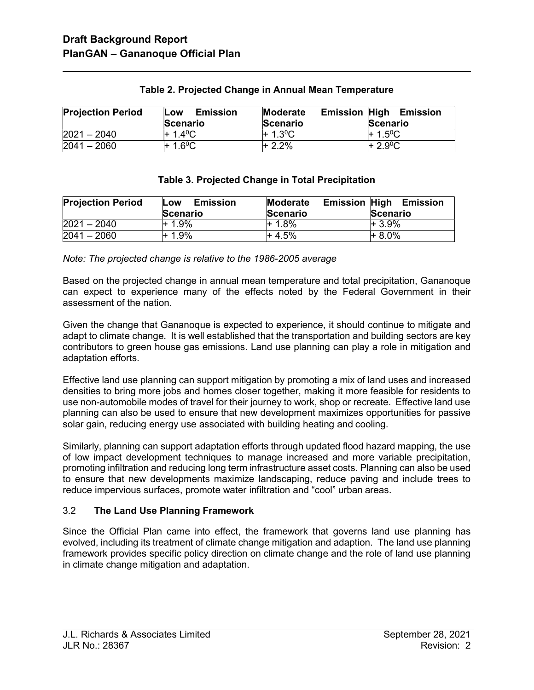l

| <b>Projection Period</b> | <b>Emission</b><br>Low<br><b>Scenario</b> | <b>Emission High</b><br>Moderate<br><b>Scenario</b> | Emission<br>Scenario |
|--------------------------|-------------------------------------------|-----------------------------------------------------|----------------------|
| $2021 - 2040$            | $+ 1.4^{\circ}$ C                         | $+ 1.3^{\circ}$ C                                   | $+ 1.5^{\circ}$ C    |
| $2041 - 2060$            | $+ 1.6^{\circ}$ C                         | $+2.2%$                                             | $+2.9^{\circ}C$      |

## Table 2. Projected Change in Annual Mean Temperature

### Table 3. Projected Change in Total Precipitation

| <b>Projection Period</b> | Emission<br>Low<br>Scenario | Moderate<br>Scenario | <b>Emission High</b><br><b>Emission</b><br>Scenario |
|--------------------------|-----------------------------|----------------------|-----------------------------------------------------|
| $2021 - 2040$            | $+1.9%$                     | + 1.8%               | $+3.9%$                                             |
| $2041 - 2060$            | $+1.9%$                     | + 4.5%               | $+8.0\%$                                            |

Note: The projected change is relative to the 1986-2005 average

Based on the projected change in annual mean temperature and total precipitation, Gananoque can expect to experience many of the effects noted by the Federal Government in their assessment of the nation.

Given the change that Gananoque is expected to experience, it should continue to mitigate and adapt to climate change. It is well established that the transportation and building sectors are key contributors to green house gas emissions. Land use planning can play a role in mitigation and adaptation efforts.

Effective land use planning can support mitigation by promoting a mix of land uses and increased densities to bring more jobs and homes closer together, making it more feasible for residents to use non-automobile modes of travel for their journey to work, shop or recreate. Effective land use planning can also be used to ensure that new development maximizes opportunities for passive solar gain, reducing energy use associated with building heating and cooling.

Similarly, planning can support adaptation efforts through updated flood hazard mapping, the use of low impact development techniques to manage increased and more variable precipitation, promoting infiltration and reducing long term infrastructure asset costs. Planning can also be used to ensure that new developments maximize landscaping, reduce paving and include trees to reduce impervious surfaces, promote water infiltration and "cool" urban areas.

# 3.2 The Land Use Planning Framework

Since the Official Plan came into effect, the framework that governs land use planning has evolved, including its treatment of climate change mitigation and adaption. The land use planning framework provides specific policy direction on climate change and the role of land use planning in climate change mitigation and adaptation.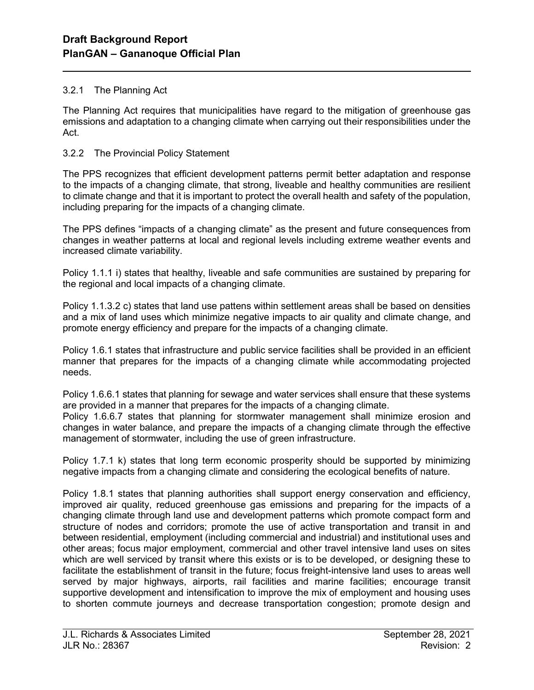## 3.2.1 The Planning Act

l

The Planning Act requires that municipalities have regard to the mitigation of greenhouse gas emissions and adaptation to a changing climate when carrying out their responsibilities under the Act.

## 3.2.2 The Provincial Policy Statement

The PPS recognizes that efficient development patterns permit better adaptation and response to the impacts of a changing climate, that strong, liveable and healthy communities are resilient to climate change and that it is important to protect the overall health and safety of the population, including preparing for the impacts of a changing climate.

The PPS defines "impacts of a changing climate" as the present and future consequences from changes in weather patterns at local and regional levels including extreme weather events and increased climate variability.

Policy 1.1.1 i) states that healthy, liveable and safe communities are sustained by preparing for the regional and local impacts of a changing climate.

Policy 1.1.3.2 c) states that land use pattens within settlement areas shall be based on densities and a mix of land uses which minimize negative impacts to air quality and climate change, and promote energy efficiency and prepare for the impacts of a changing climate.

Policy 1.6.1 states that infrastructure and public service facilities shall be provided in an efficient manner that prepares for the impacts of a changing climate while accommodating projected needs.

Policy 1.6.6.1 states that planning for sewage and water services shall ensure that these systems are provided in a manner that prepares for the impacts of a changing climate.

Policy 1.6.6.7 states that planning for stormwater management shall minimize erosion and changes in water balance, and prepare the impacts of a changing climate through the effective management of stormwater, including the use of green infrastructure.

Policy 1.7.1 k) states that long term economic prosperity should be supported by minimizing negative impacts from a changing climate and considering the ecological benefits of nature.

Policy 1.8.1 states that planning authorities shall support energy conservation and efficiency, improved air quality, reduced greenhouse gas emissions and preparing for the impacts of a changing climate through land use and development patterns which promote compact form and structure of nodes and corridors; promote the use of active transportation and transit in and between residential, employment (including commercial and industrial) and institutional uses and other areas; focus major employment, commercial and other travel intensive land uses on sites which are well serviced by transit where this exists or is to be developed, or designing these to facilitate the establishment of transit in the future; focus freight-intensive land uses to areas well served by major highways, airports, rail facilities and marine facilities; encourage transit supportive development and intensification to improve the mix of employment and housing uses to shorten commute journeys and decrease transportation congestion; promote design and